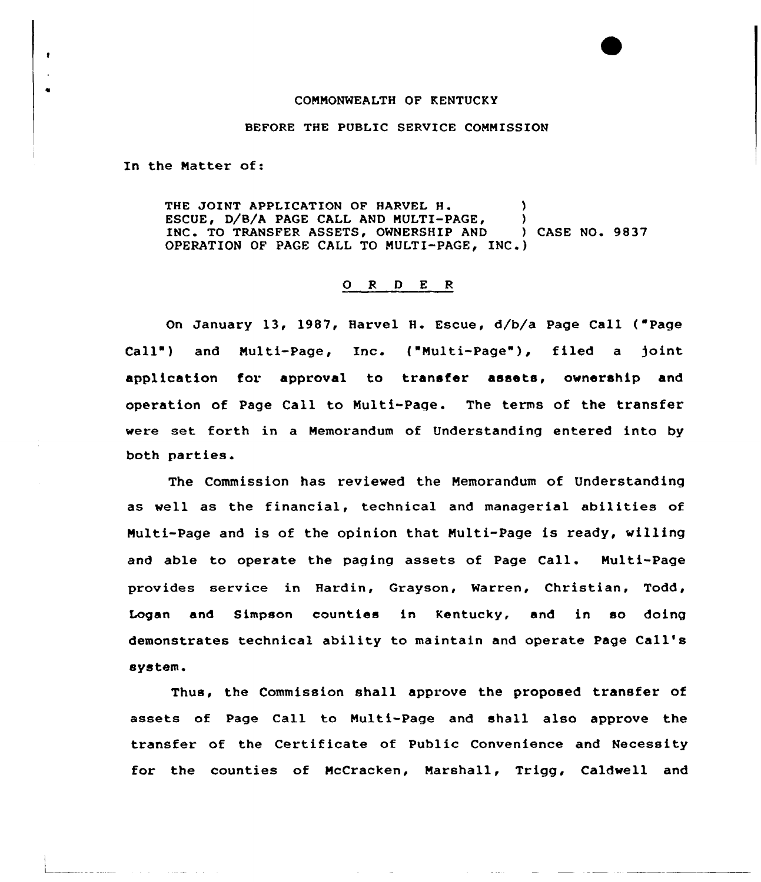## CONNONWEALTH OF KENTUCKY

## BEFORE THE PUBLIC SERVICE COMMISSION

In the Natter of:

 $\bullet$ 

 $\bullet$ 

THE JOINT APPLICATION OF HARVEL H. (1997)<br>ESCUE, D/B/A PAGE CALL AND MULTI-PAGE. (1997) ESCUE, D/B/A PAGE CALL AND MULTI-PAGE,  $\qquad$ )<br>INC. TO TRANSFER ASSETS, OWNERSHIP AND (ASE NO. 9837) INC. TO TRANSFER ASSETS, OWNERSHIP AND OPERATION OF PAGE CALL TO MULTI-PAGE, INC.)

## ORDER

On January 13, 1987, Harvel H. Escue, d/b/a Page Call ( Page Call") and Multi-Page, Inc. ("Multi-Page"), filed a joint application for. approval to transfer assets, ownership and operation of Page Call to Nulti-Page. The terms of the transfer were set forth in a Memorandum of Understanding entered into by both parties.

The Commission has reviewed the Memorandum of Understanding as well as the financial, technical and managerial abilities of Multi-Page and is of the opinion that Nulti-Page is ready, willing and able to operate the paging assets of Page Call. Multi-Page provides service in Hardin, Grayson, Warren, Christian, Todd, Logan and Simpson counties in Kentucky, and in so doing demonstrates technical ability to maintain and operate Page Call's system.

Thus, the Commission shall approve the proposed transfer of assets of Page Call to Nulti-Page and shall also approve the transfer of the Certificate of Public Convenience and Necessity for the counties of McCracken, Narshall, Trigg, Caldwell and